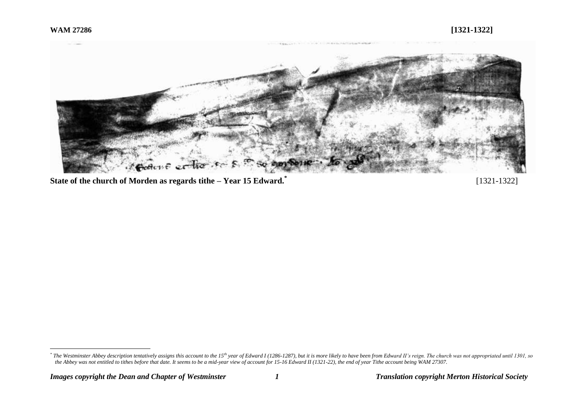

**State of the church of Morden as regards tithe – Year 15 Edward.\***

[1321-1322]

<sup>\*&</sup>lt;br>The Westminster Abbey description tentatively assigns this account to the 15<sup>th</sup> year of Edward I (1286-1287), but it is more likely to have been from Edward II's reign. The church was not appropriated until 1301, so\*\*\*\* *the Abbey was not entitled to tithes before that date. It seems to be a mid-year view of account for 15-16 Edward II (1321-22), the end of year Tithe account being WAM 27307.*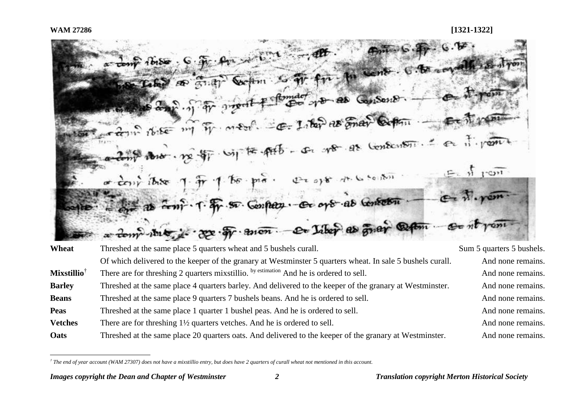

| Wheat                          | Threshed at the same place 5 quarters wheat and 5 bushels curall.                                          | Sum 5 quarters 5 bushels. |
|--------------------------------|------------------------------------------------------------------------------------------------------------|---------------------------|
|                                | Of which delivered to the keeper of the granary at Westminster 5 quarters wheat. In sale 5 bushels curall. | And none remains.         |
| <b>Mixstillio</b> <sup>†</sup> | There are for threshing 2 quarters mixstillio. by estimation And he is ordered to sell.                    | And none remains.         |
| <b>Barley</b>                  | Threshed at the same place 4 quarters barley. And delivered to the keeper of the granary at Westminster.   | And none remains.         |
| <b>Beans</b>                   | Threshed at the same place 9 quarters 7 bushels beans. And he is ordered to sell.                          | And none remains.         |
| <b>Peas</b>                    | Threshed at the same place 1 quarter 1 bushel peas. And he is ordered to sell.                             | And none remains.         |
| <b>Vetches</b>                 | There are for threshing $1\frac{1}{2}$ quarters vetches. And he is ordered to sell.                        | And none remains.         |
| Oats                           | Threshed at the same place 20 quarters oats. And delivered to the keeper of the granary at Westminster.    | And none remains.         |

*<sup>†</sup> The end of year account (WAM 27307) does not have a mixstillio entry, but does have 2 quarters of curall wheat not mentioned in this account.*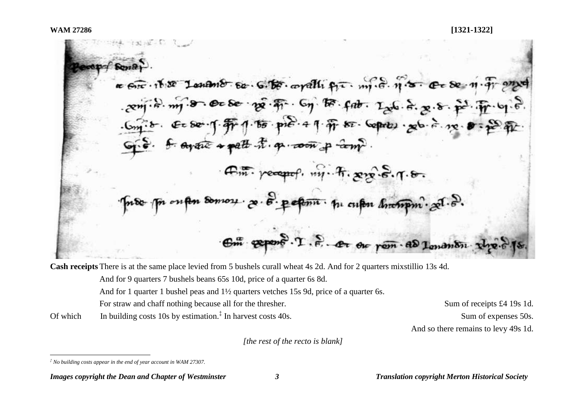$1 - 2$ a circ. it se Lonano so. G. Be. oralli fir. mi. d. n. s. c de n. T. and  $-2\pi\pi$   $-6$   $-6\pi$   $-6\pi$   $-6\pi$   $-6\pi$   $-6\pi$   $-6\pi$   $-12\pi$   $-6\pi$   $-8\pi$   $-6\pi$   $-6\pi$   $-6\pi$ <br> $-6\pi$   $-6\pi$   $-6\pi$   $-7\pi$   $-6\pi$   $-6\pi$   $-6\pi$   $-6\pi$   $-6\pi$   $-6\pi$   $-6\pi$   $-6\pi$ G.S. f. ayant + patt t. q. coon p com?  $R_{m}$  percept,  $m_1$ .  $R$ ,  $m_2$ ,  $S$ ,  $q$ .  $\theta$ . oupen somos : 20. 8. pepmi. p. cupen Anompin. 201. 8. Om expert . T. S. A or rem as lenanting

**Cash receipts** There is at the same place levied from 5 bushels curall wheat 4s 2d. And for 2 quarters mixstillio 13s 4d.

And for 9 quarters 7 bushels beans 65s 10d, price of a quarter 6s 8d.

And for 1 quarter 1 bushel peas and 1½ quarters vetches 15s 9d, price of a quarter 6s.

For straw and chaff nothing because all for the thresher. Sum of receipts £4 19s 1d.

Of which In building costs 10s by estimation.<sup> $\ddagger$ </sup> In harvest costs 40s.

Sum of expenses 50s. And so there remains to levy 49s 1d.

*[the rest of the recto is blank]*

 $\overline{a}$ 

*<sup>‡</sup> No building costs appear in the end of year account in WAM 27307.*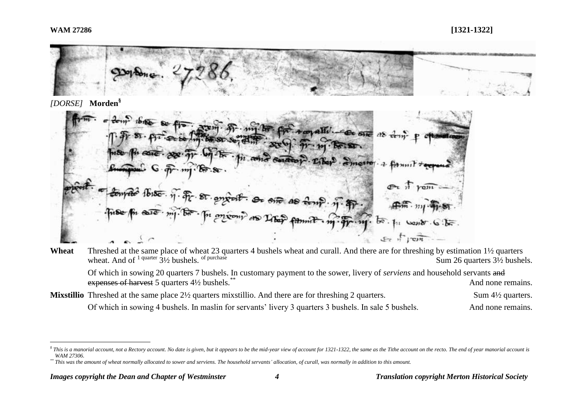## **WAM 27286 [1321-1322]**



### *[DORSE]* **Morden§**

 $A$ an allı moon as Liber न्दि Fr

# **Wheat** Threshed at the same place of wheat 23 quarters 4 bushels wheat and curall. And there are for threshing by estimation 1½ quarters wheat. And of <sup>1 quarter</sup>  $3\frac{1}{2}$  bushels. <sup>of purchase</sup> Sum 26 quarters  $3\frac{1}{2}$  bushels.

Of which in sowing 20 quarters 7 bushels. In customary payment to the sower, livery of *serviens* and household servants and expenses of harvest 5 quarters 4<sup>1/2</sup> bushels.<sup>\*\*</sup> and in the set of the set of the set of the remains. And none remains.

**Mixstillio** Threshed at the same place 2½ quarters mixstillio. And there are for threshing 2 quarters. Sum 4½ quarters. Of which in sowing 4 bushels. In maslin for servants' livery 3 quarters 3 bushels. In sale 5 bushels. And none remains.

 ${}^{\$}$  This is a manorial account, not a Rectory account. No date is given, but it appears to be the mid-year view of account for 1321-1322, the same as the Tithe account on the recto. The end of year manorial account is *WAM 27306.*

*<sup>\*\*</sup> This was the amount of wheat normally allocated to sower and serviens. The household servants' allocation, of curall, was normally in addition to this amount.*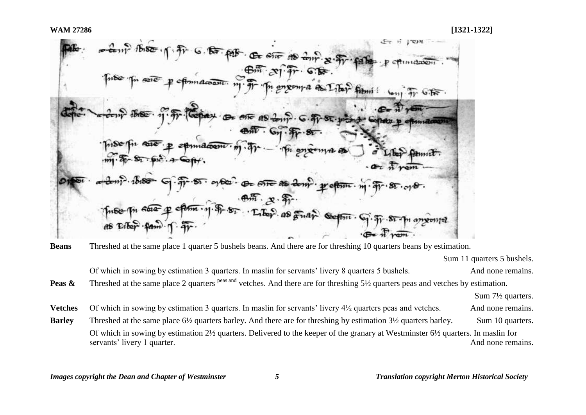

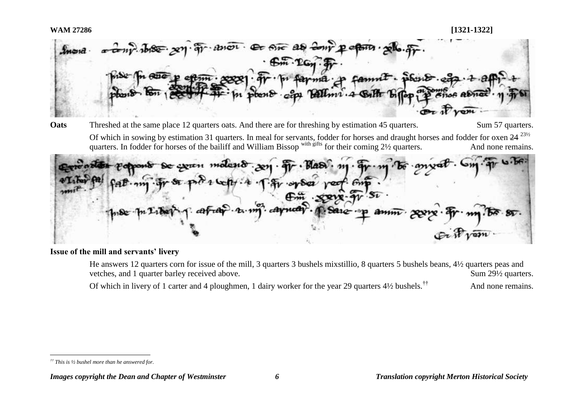

**Oats** Threshed at the same place 12 quarters oats. And there are for threshing by estimation 45 quarters. Sum 57 quarters. Of which in sowing by estimation 31 quarters. In meal for servants, fodder for horses and draught horses and fodder for oxen 24<sup>231/2</sup> quarters. In fodder for horses of the bailiff and William Bissop with gifts for their coming 2½ quarters. And none remains.

 $\mathbf{A}$ De coven motend. p.  $-\frac{5}{2}$ 

### **Issue of the mill and servants' livery**

He answers 12 quarters corn for issue of the mill, 3 quarters 3 bushels mixstillio, 8 quarters 5 bushels beans, 4½ quarters peas and vetches, and 1 quarter barley received above. Sum 29<sup>1/2</sup> quarters. Of which in livery of 1 carter and 4 ploughmen, 1 dairy worker for the year 29 quarters  $4\frac{1}{2}$  bushels.<sup>††</sup> And none remains.

 $\overline{a}$ *†† This is ½ bushel more than he answered for.*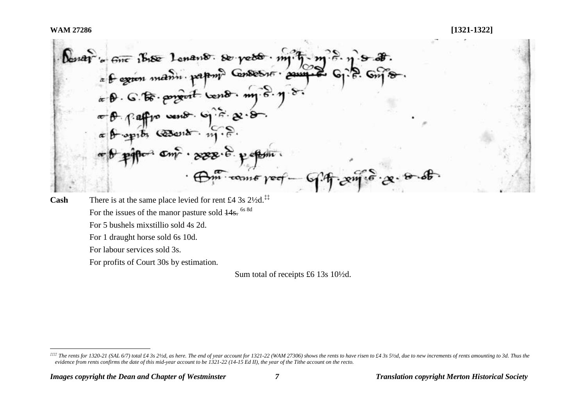Denard in some is the Lonard Served . my fl.,  $f:$  aff  $f \circ \text{var}(x)$ .  $\circ \neg f \circ g \circ \circ \neg f$ .  $\frac{1}{2}$  $conv6$   $vec$ Cash There is at the same place levied for rent £4 3s 2<sup>1</sup>/<sub>2</sub>d.<sup>‡‡</sup>

For the issues of the manor pasture sold  $\frac{14}{5}$ <sup>6s 8d</sup> For 5 bushels mixstillio sold 4s 2d. For 1 draught horse sold 6s 10d. For labour services sold 3s. For profits of Court 30s by estimation.

Sum total of receipts £6 13s 10½d.

<sup>&</sup>lt;sup>2111</sup> The rents for 1320-21 (SAL 6/7) total £4 3s 21/2d, as here. The end of year account for 1321-22 (WAM 27306) shows the rents to have risen to £4 3s 51/2d, due to new increments of rents amounting to 3d. Thus the *evidence from rents confirms the date of this mid-year account to be 1321-22 (14-15 Ed II), the year of the Tithe account on the recto.*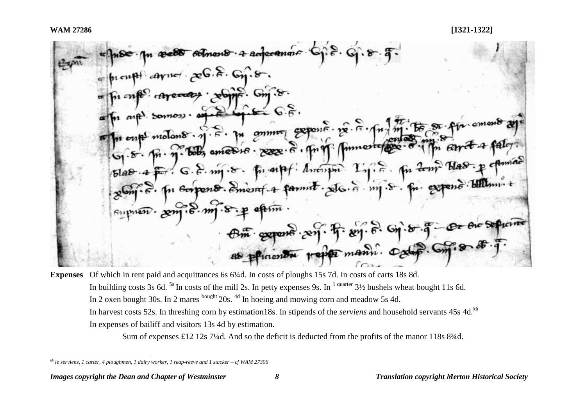n æær solment a adecomme  $[$ prentification and center  $\mathcal{E}$  on  $\mathcal{E}$ . For ones caraceaes · solid S. Com 8. The one model is a process of the control of the control of the state of the state of the control of the state of the control of the control of the control of the control of the control of the control of the control of the Supposer. 2m . 8. m . 8. p oftim Om opposite and frem. B. G. o. 5-9-

**Expenses** Of which in rent paid and acquittances 6s 6¼d. In costs of ploughs 15s 7d. In costs of carts 18s 8d. In building costs  $3s$  6d. <sup>5s</sup> In costs of the mill 2s. In petty expenses 9s. In <sup>1 quarter</sup> 3½ bushels wheat bought 11s 6d. In 2 oxen bought 30s. In 2 mares bought 20s. <sup>4d</sup> In hoeing and mowing corn and meadow 5s 4d. In harvest costs 52s. In threshing corn by estimation18s. In stipends of the *serviens* and household servants 45s 4d.<sup>§§</sup> In expenses of bailiff and visitors 13s 4d by estimation.

Sum of expenses £12 12s 7¼d. And so the deficit is deducted from the profits of the manor 118s 8 $\frac{3}{4}$ d.

*<sup>§§</sup> ie serviens, 1 carter, 4 ploughmen, 1 dairy worker, 1 reap-reeve and 1 stacker – cf WAM 27306*